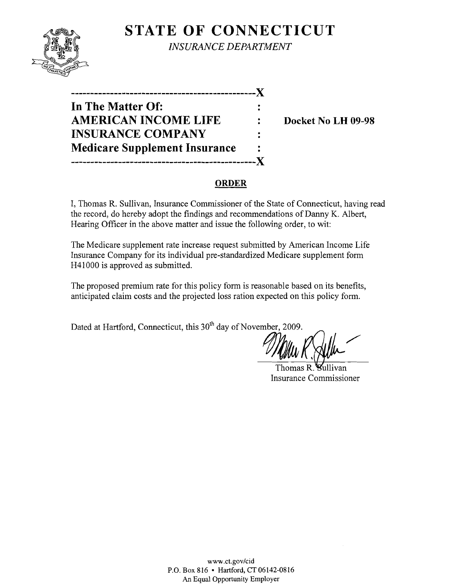

**STATE OF CONNECTICUT** *INSURANCE DEPARTMENT* 

**-----------------------------------------------)( In The Matter Of: AMERICAN INCOME LIFE : Docket No LH 09-98 INSURANCE COMPANY Medicare Supplement Insurance -----------------------------------------------)(** 

### **ORDER**

I, Thomas R. Sullivan, Insurance Commissioner of the State of Connecticut, having read the record, do hereby adopt the findings and recommendations of Danny K. Albert, Hearing Officer in the above matter and issue the following order, to wit:

The Medicare supplement rate increase request submitted by American Income Life Insurance Company for its individual pre-standardized Medicare supplement form H41000 is approved as submitted.

The proposed premium rate for this policy form is reasonable based on its benefits, anticipated claim costs and the projected loss ration expected on this policy form.

Dated at Hartford, Connecticut, this 30<sup>th</sup> day of November, 2009.

**FLOWSE BUILLIVER** 

Thomas R. Insurance Commissioner

www.ct.gov/cid P.O. Box 816 • Hartford, CT 06142-0816 An Equal Opportunity Employer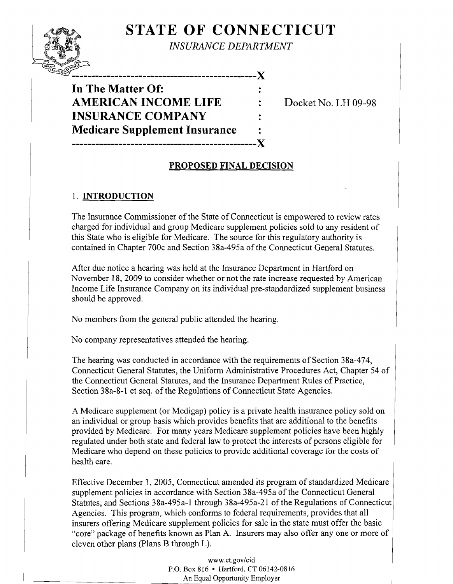# **STATE OF CONNECTICUT**

*INSURANCE DEPARTMENT* 

**-----------------------------------------------**X

**In The Matter Of: AMERICAN INCOME LIFE : Docket No. LH 09-98 INSURANCE COMPANY Medicare Supplement Insurance** .. **-----------------------------------------------X** 

## **PROPOSED FINAL DECISION**

#### 1. **INTRODUCTION**

 $\rightarrow$   $\rightarrow$   $\rightarrow$   $\rightarrow$ .

> The Insurance Commissioner of the State of Connecticut is empowered to review rates charged for individual and group Medicare supplement policies sold to any resident of this State who is eligible for Medicare. The source for this regulatory authority is contained in Chapter 700c and Section 38a-495a of the Connecticut General Statutes.

After due notice a hearing was held at the Insurance Department in Hartford on November 18, 2009 to consider whether or not the rate increase requested by American Income Life Insurance Company on its individual pre-standardized supplement business should be approved.

No members from the general public attended the hearing.

No company representatives attended the hearing.

The hearing was conducted in accordance with the requirements of Section 38a-474, Connecticut General Statutes, the Uniform Administrative Procedures Act, Chapter 54 of the Connecticut General Statutes, and the Insurance Department Rules of Practice, Section 38a-8-1 et seq. of the Regulations of Connecticut State Agencies.

A Medicare supplement (or Medigap) policy is a private health insurance policy sold on an individual or group basis which provides benefits that are additional to the benefits provided by Medicare. For many years Medicare supplement policies have been highly regulated under both state and federal law to protect the interests of persons eligible for Medicare who depend on these policies to provide additional coverage for the costs of health care.

Effective December 1, 2005, Connecticut amended its program of standardized Medicare supplement policies in accordance with Section 38a-495a of the Connecticut General Statutes, and Sections 38a-495a-l through 38a-495a-21 of the Regulations of Connecticut Agencies. This program, which conforms to federal requirements, provides that all insurers offering Medicare supplement policies for sale in the state must offer the basic "core" package of benefits known as Plan A. Insurers may also offer anyone or more of eleven other plans (Plans B through L).

> www.ct.gov/cid P.O. Box 816 • Hartford, CT 06142-0816 An Equal Opportunity Employer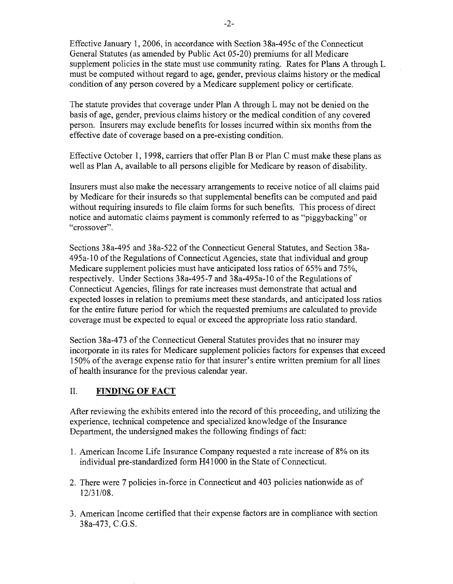Effective January 1,2006, in accordance with Section 38a-495c of the Connecticut General Statutes (as amended by Public Act 05-20) premiums for all Medicare supplement policies in the state must use community rating. Rates for Plans A through L must be computed without regard to age, gender, previous claims history or the medical condition of any person covered by a Medicare supplement policy or certificate.

The statute provides that coverage under Plan A through L may not be denied on the basis of age, gender, previous claims history or the medical condition of any covered person. Insurers may exclude benefits for losses incurred within six months from the effective date of coverage based on a pre-existing condition.

Effective October 1, 1998, carriers that offer Plan B or Plan C must make these plans as well as Plan A, available to all persons eligible for Medicare by reason of disability.

Insurers must also make the necessary arrangements to receive notice of all claims paid by Medicare for their insureds so that supplemental benefits can be computed and paid without requiring insureds to file claim forms for such benefits. This process of direct notice and automatic claims payment is commonly referred to as "piggybacking" or "crossover".

Sections 38a-495 and 38a-522 of the Connecticut General Statutes, and Section 38a-495a-10 ofthe Regulations of Connecticut Agencies, state that individual and group Medicare supplement policies must have anticipated loss ratios of 65% and 75%, respectively. Under Sections 38a-495-7 and 38a-495a-1O of the Regulations of Connecticut Agencies, filings for rate increases must demonstrate that actual and expected losses in relation to premiums meet these standards, and anticipated loss ratios for the entire future period for which the requested premiums are calculated to provide coverage must be expected to equal or exceed the appropriate loss ratio standard.

Section 38a-473 of the Connecticut General Statutes provides that no insurer may incorporate in its rates for Medicare supplement policies factors for expenses that exceed 150% of the average expense ratio for that insurer's entire written premium for all lines of health insurance for the previous calendar year.

#### II. **FINDING OF FACT**

After reviewing the exhibits entered into the record of this proceeding, and utilizing the experience, technical competence and specialized knowledge of the Insurance Department, the undersigned makes the following findings of fact:

- 1. American Income Life Insurance Company requested a rate increase of 8% on its individual pre-standardized form H41 000 in the State of Connecticut.
- 2. There were 7 policies in-force in Connecticut and 403 policies nationwide as of 12/31/08.
- 3. American Income certified that their expense factors are in compliance with section 38a-473, C.G.S.